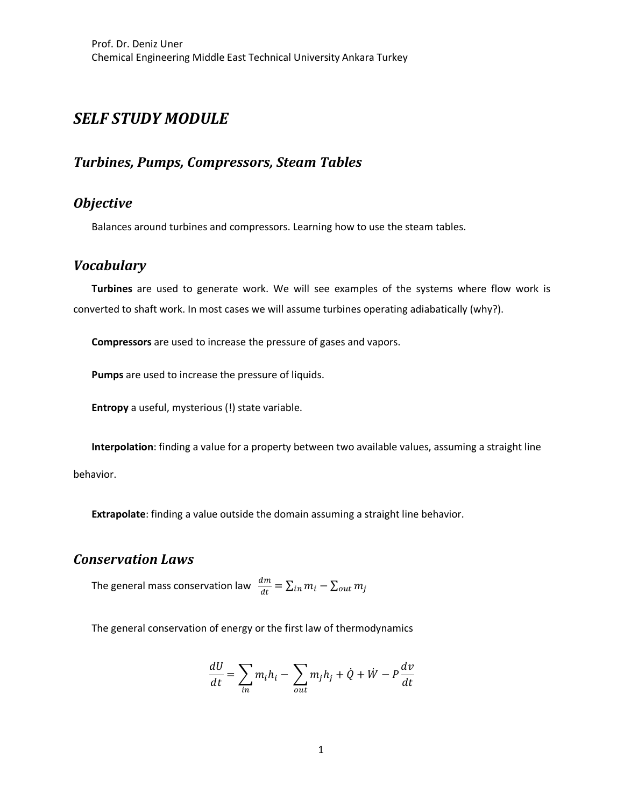## *SELF STUDY MODULE*

### *Turbines, Pumps, Compressors, Steam Tables*

### *Objective*

Balances around turbines and compressors. Learning how to use the steam tables.

## *Vocabulary*

**Turbines** are used to generate work. We will see examples of the systems where flow work is converted to shaft work. In most cases we will assume turbines operating adiabatically (why?).

**Compressors** are used to increase the pressure of gases and vapors.

**Pumps** are used to increase the pressure of liquids.

**Entropy** a useful, mysterious (!) state variable.

**Interpolation**: finding a value for a property between two available values, assuming a straight line behavior.

**Extrapolate**: finding a value outside the domain assuming a straight line behavior.

#### *Conservation Laws*

The general mass conservation law  $\;\frac{dm}{dt}=\sum_{in}m_i-\sum_{out}m_j$ 

The general conservation of energy or the first law of thermodynamics

$$
\frac{dU}{dt} = \sum_{in} m_i h_i - \sum_{out} m_j h_j + \dot{Q} + \dot{W} - P\frac{dv}{dt}
$$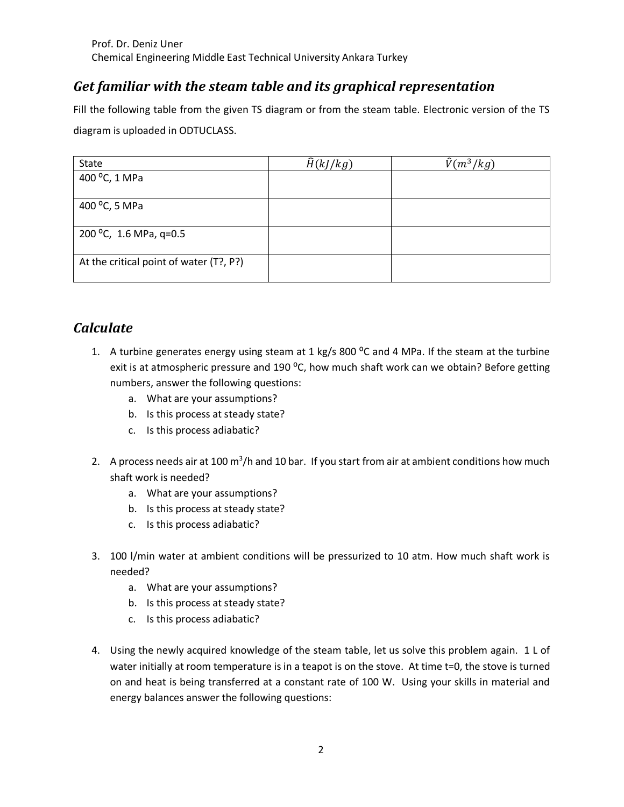# Get familiar with the steam table and its graphical representation

Fill the following table from the given TS diagram or from the steam table. Electronic version of the TS diagram is uploaded in ODTUCLASS.

| State                                   | $\widehat{H}(kJ/kg)$ | $\hat{V}(m^3/kg)$ |
|-----------------------------------------|----------------------|-------------------|
| 400 °C, 1 MPa                           |                      |                   |
|                                         |                      |                   |
| 400 °C, 5 MPa                           |                      |                   |
|                                         |                      |                   |
| 200 °C, 1.6 MPa, q=0.5                  |                      |                   |
|                                         |                      |                   |
| At the critical point of water (T?, P?) |                      |                   |
|                                         |                      |                   |

# *Calculate*

- 1. A turbine generates energy using steam at 1 kg/s 800  $^{\circ}$ C and 4 MPa. If the steam at the turbine exit is at atmospheric pressure and 190 °C, how much shaft work can we obtain? Before getting numbers, answer the following questions:
	- a. What are your assumptions?
	- b. Is this process at steady state?
	- c. Is this process adiabatic?
- 2. A process needs air at 100 m<sup>3</sup>/h and 10 bar. If you start from air at ambient conditions how much shaft work is needed?
	- a. What are your assumptions?
	- b. Is this process at steady state?
	- c. Is this process adiabatic?
- 3. 100 l/min water at ambient conditions will be pressurized to 10 atm. How much shaft work is needed?
	- a. What are your assumptions?
	- b. Is this process at steady state?
	- c. Is this process adiabatic?
- 4. Using the newly acquired knowledge of the steam table, let us solve this problem again. 1 L of water initially at room temperature is in a teapot is on the stove. At time t=0, the stove is turned on and heat is being transferred at a constant rate of 100 W. Using your skills in material and energy balances answer the following questions: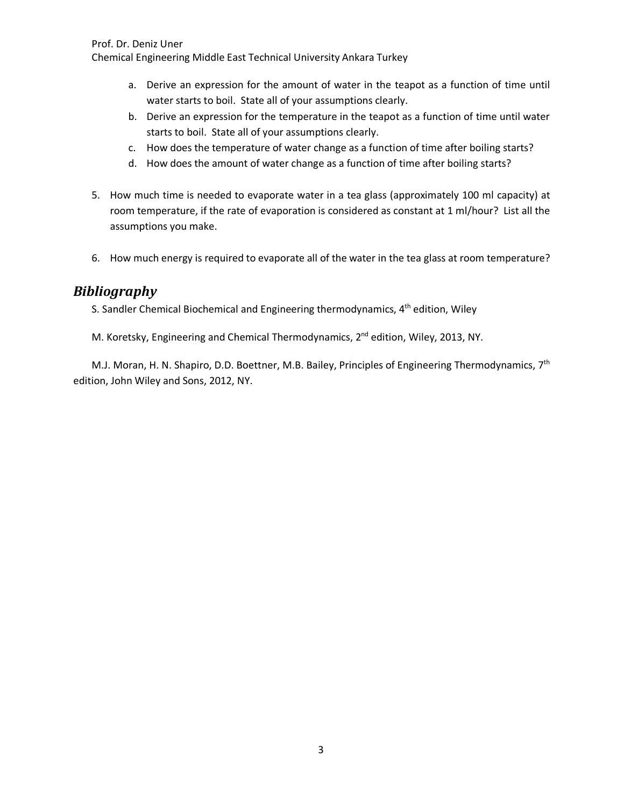Prof. Dr. Deniz Uner

Chemical Engineering Middle East Technical University Ankara Turkey

- a. Derive an expression for the amount of water in the teapot as a function of time until water starts to boil. State all of your assumptions clearly.
- b. Derive an expression for the temperature in the teapot as a function of time until water starts to boil. State all of your assumptions clearly.
- c. How does the temperature of water change as a function of time after boiling starts?
- d. How does the amount of water change as a function of time after boiling starts?
- 5. How much time is needed to evaporate water in a tea glass (approximately 100 ml capacity) at room temperature, if the rate of evaporation is considered as constant at 1 ml/hour? List all the assumptions you make.
- 6. How much energy is required to evaporate all of the water in the tea glass at room temperature?

### *Bibliography*

S. Sandler Chemical Biochemical and Engineering thermodynamics, 4<sup>th</sup> edition, Wiley

M. Koretsky, Engineering and Chemical Thermodynamics, 2<sup>nd</sup> edition, Wiley, 2013, NY.

M.J. Moran, H. N. Shapiro, D.D. Boettner, M.B. Bailey, Principles of Engineering Thermodynamics, 7<sup>th</sup> edition, John Wiley and Sons, 2012, NY.